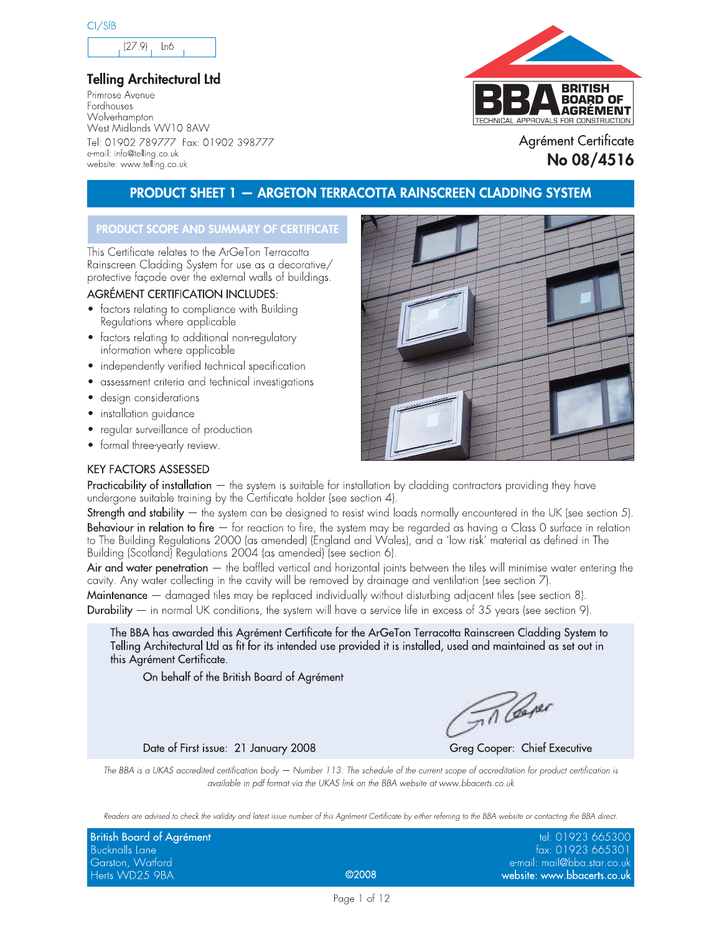| CI/SB |            |  |
|-------|------------|--|
|       | (27.9) Ln6 |  |

## **Telling Architectural Ltd**

Primrose Avenue Fordhouses Wolverhampton West Midlands WV10 8AW Tel: 01902 789777 Fax: 01902 398777 e-mail: info@telling.co.uk website: www.telling.co.uk



Agrément Certificate No 08/4516

## **PRODUCT SHEET 1 - ARGETON TERRACOTTA RAINSCREEN CLADDING SYSTEM**

#### PRODUCT SCOPE AND SUMMARY OF CERTIFICATE

This Certificate relates to the ArGeTon Terracotta Rainscreen Cladding System for use as a decorative/ protective façade over the external walls of buildings.

#### **AGRÉMENT CERTIFICATION INCLUDES:**

- factors relating to compliance with Building Regulations where applicable
- factors relating to additional non-regulatory information where applicable
- independently verified technical specification
- assessment criteria and technical investigations
- · design considerations
- installation guidance
- regular surveillance of production
- formal three-yearly review.

#### **KEY FACTORS ASSESSED**



**Practicability of installation** - the system is suitable for installation by cladding contractors providing they have undergone suitable training by the Certificate holder (see section 4).

Strength and stability  $-$  the system can be designed to resist wind loads normally encountered in the UK (see section 5). Behaviour in relation to fire — for reaction to fire, the system may be regarded as having a Class 0 surface in relation<br>to The Building Regulations 2000 (as amended) (England and Wales), and a 'low risk' material as defin Building (Scotland) Regulations 2004 (as amended) (see section 6).

Air and water penetration - the baffled vertical and horizontal joints between the tiles will minimise water entering the cavity. Any water collecting in the cavity will be removed by drainage and ventilation (see section 7).

**Maintenance**  $-$  damaged tiles may be replaced individually without disturbing adjacent tiles (see section 8).

**Durability**  $-$  in normal UK conditions, the system will have a service life in excess of 35 years (see section 9).

The BBA has awarded this Agrément Certificate for the ArGeTon Terracotta Rainscreen Cladding System to Telling Architectural Ltd as fit for its intended use provided it is installed, used and maintained as set out in this Agrément Certificate.

On behalf of the British Board of Agrément

In Caper

#### Date of First issue: 21 January 2008

Greg Cooper: Chief Executive

The BBA is a UKAS accredited certification body - Number 113. The schedule of the current scope of accreditation for product certification is available in pdf format via the UKAS link on the BBA website at www.bbacerts.co.uk

Readers are advised to check the validity and latest issue number of this Agrément Certificate by either referring to the BBA website or contacting the BBA direct.

| British Board of Agrément |                 | tel: 01923 665300           |
|---------------------------|-----------------|-----------------------------|
| <b>Bucknalls Lane</b>     |                 | fax: 01923 665301           |
| Garston, Watford          |                 | e-mail: mail@bba.star.co.uk |
| Herts WD25 9BA            | $\bigcirc$ 2008 | website: www.bbacerts.co.uk |

Page 1 of 12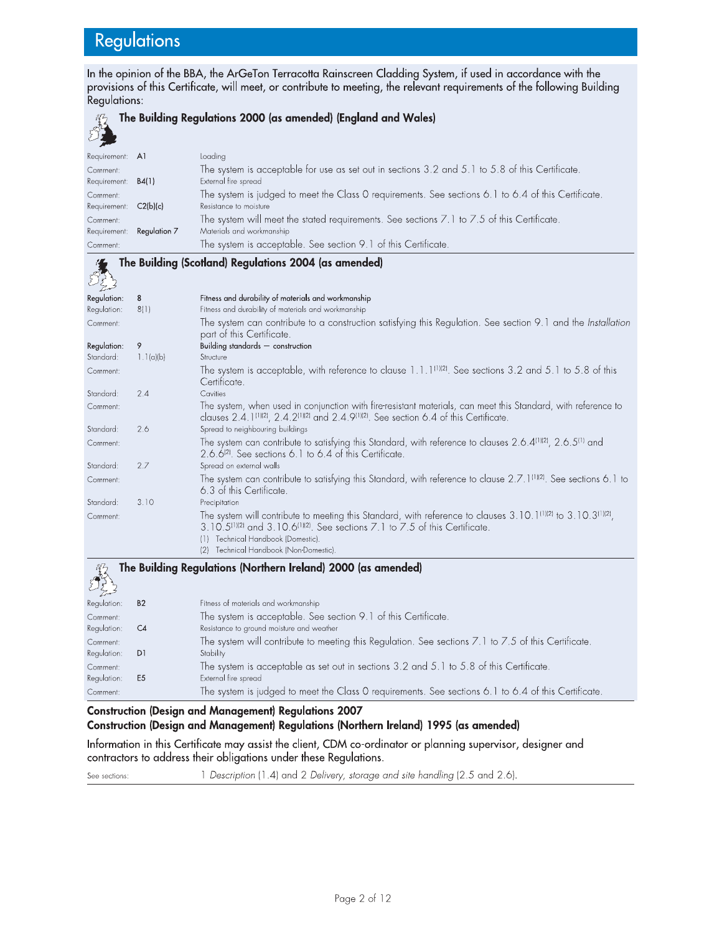# Regulations



| <b>Regulations</b>                   |                                                                                                                                                                                                                                          |
|--------------------------------------|------------------------------------------------------------------------------------------------------------------------------------------------------------------------------------------------------------------------------------------|
| Regulations:                         | In the opinion of the BBA, the ArGeTon Terracotta Rainscreen Cladding System, if used in accordance with the<br>provisions of this Certificate, will meet, or contribute to meeting, the relevant requirements of the following Building |
|                                      | The Building Regulations 2000 (as amended) (England and Wales)                                                                                                                                                                           |
| Requirement: A1                      | Loading                                                                                                                                                                                                                                  |
| Comment:<br>Requirement:<br>B4(1)    | The system is acceptable for use as set out in sections 3.2 and 5.1 to 5.8 of this Certificate.<br>External fire spread                                                                                                                  |
| Comment:<br>Requirement:<br>C2(b)(c) | The system is judged to meet the Class O requirements. See sections 6.1 to 6.4 of this Certificate.<br>Resistance to moisture                                                                                                            |
| Comment:<br>Requirement:             | The system will meet the stated requirements. See sections $7.1$ to $7.5$ of this Certificate.<br>Materials and workmanship<br>Regulation 7                                                                                              |
| Comment:                             | The system is acceptable. See section 9.1 of this Certificate.                                                                                                                                                                           |

| kequiremeni: AT            |                | roaailid                                                                                                                                                                                                   |
|----------------------------|----------------|------------------------------------------------------------------------------------------------------------------------------------------------------------------------------------------------------------|
| Comment:                   |                | The system is acceptable for use as set out in sections 3.2 and 5.1 to 5.8 of this Certificate.                                                                                                            |
| Requirement:               | B4(1)          | External fire spread                                                                                                                                                                                       |
| Comment:<br>Requirement:   | C2(b)(c)       | The system is judged to meet the Class 0 requirements. See sections 6.1 to 6.4 of this Certificate.<br>Resistance to moisture                                                                              |
| Comment:<br>Requirement:   | Regulation 7   | The system will meet the stated requirements. See sections 7.1 to 7.5 of this Certificate.<br>Materials and workmanship                                                                                    |
| Comment:                   |                | The system is acceptable. See section 9.1 of this Certificate.                                                                                                                                             |
| 4                          |                | The Building (Scotland) Regulations 2004 (as amended)                                                                                                                                                      |
| Regulation:<br>Regulation: | 8<br>8(1)      | Fitness and durability of materials and workmanship<br>Fitness and durability of materials and workmanship                                                                                                 |
| Comment:                   |                | The system can contribute to a construction satisfying this Regulation. See section 9.1 and the Installation<br>part of this Certificate.                                                                  |
| Regulation:                | 9              | Building standards - construction                                                                                                                                                                          |
| Standard:                  | 1.1(a)(b)      | Structure                                                                                                                                                                                                  |
| Comment:                   |                | The system is acceptable, with reference to clause 1.1.1(1)(2). See sections 3.2 and 5.1 to 5.8 of this<br>Certificate.                                                                                    |
| Standard:                  | 2.4            | Cavities                                                                                                                                                                                                   |
| Comment:                   |                | The system, when used in conjunction with fire-resistant materials, can meet this Standard, with reference to<br>clauses 2.4.1(112), 2.4.2(112) and 2.4.9(112). See section 6.4 of this Certificate.       |
| Standard:                  | 2.6            | Spread to neighbouring buildings                                                                                                                                                                           |
| Comment:                   |                | The system can contribute to satisfying this Standard, with reference to clauses 2.6.4 <sup>(1)(2)</sup> , 2.6.5 <sup>(1)</sup> and<br>2.6.6 <sup>(2)</sup> . See sections 6.1 to 6.4 of this Certificate. |
| Standard:                  | 2.7            | Spread on external walls                                                                                                                                                                                   |
| Comment:                   |                | The system can contribute to satisfying this Standard, with reference to clause 2.7.1 <sup>(1)</sup> (2). See sections 6.1 to<br>6.3 of this Certificate.                                                  |
| Standard:                  | 3.10           | Precipitation                                                                                                                                                                                              |
| Comment:                   |                | The system will contribute to meeting this Standard, with reference to clauses $3.10.1^{(1)(2)}$ to $3.10.3^{(1)(2)}$ ,<br>3.10.5[1](2) and 3.10.6[1](2). See sections 7.1 to 7.5 of this Certificate.     |
|                            |                | (1) Technical Handbook (Domestic)                                                                                                                                                                          |
|                            |                | (2) Technical Handbook (Non-Domestic)                                                                                                                                                                      |
|                            |                | The Building Regulations (Northern Ireland) 2000 (as amended)                                                                                                                                              |
| Regulation:                | B <sub>2</sub> | Fitness of materials and workmanship                                                                                                                                                                       |
| Comment:<br>Regulation:    | C4             | The system is acceptable. See section 9.1 of this Certificate.<br>Resistance to ground moisture and weather                                                                                                |
| Comment:<br>Regulation:    | D1             | The system will contribute to meeting this Regulation. See sections 7.1 to 7.5 of this Certificate.<br>Stability                                                                                           |
| Comment:                   |                | The system is acceptable as set out in sections 3.2 and 5.1 to 5.8 of this Certificate.                                                                                                                    |
| Regulation:                | E <sub>5</sub> | External fire spread                                                                                                                                                                                       |

Comment: The system will contribute to meeting this Regulation. See sections 7.1 to 7.5 of this Certificate.<br>Regulation: D1 Stability Regulation: Comment: The system is acceptable as set out in sections 3.2 and 5.1 to 5.8 of this Certificate.<br>Regulation: **E5** External fire spread Franchischer The system is acceptable. See section 9.1 of this Certificate.<br>
Regulation: C4 Residence to growd moister and weaker<br>
Comment: The system will contribute to meeting this Regulation. See sections 7.1 to 7.5 of

in this Certificate may assist the client, CDM co-ordinator or planning supervisor, designer and contractors to address their obligations under these Regulations. Comment:<br>
Construction (Design and Management) Regulations 2007<br>
Construction (Design and Management) Regulations 2007<br>
Construction (Design and Management) Regulations (Northern Ireland) 1995 (as amended)<br>
Information in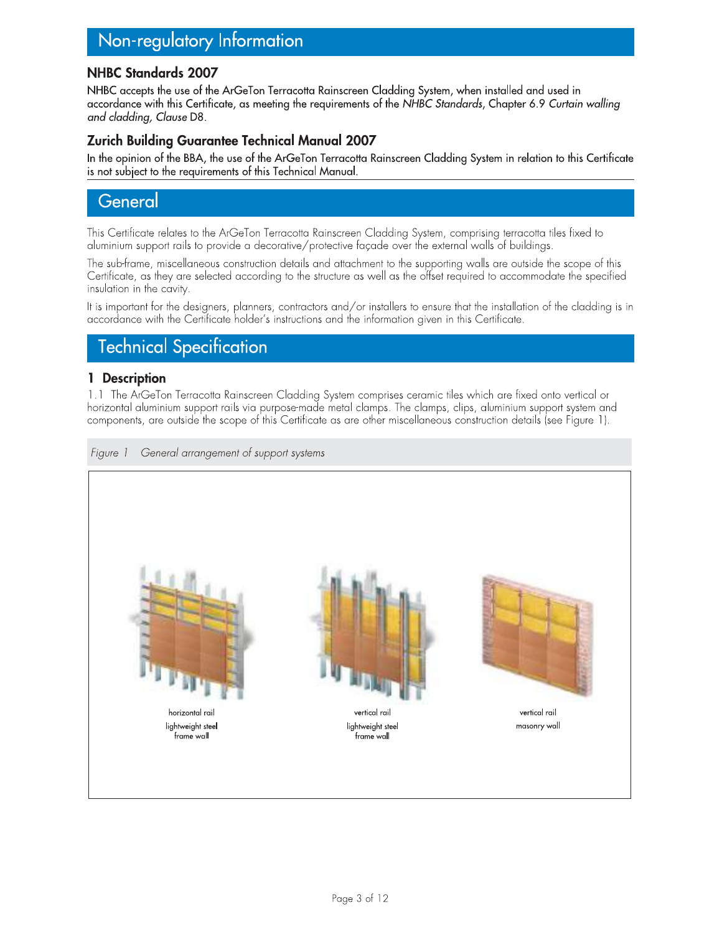# Non-regulatory Information

## **NHBC Standards 2007**

NHBC accepts the use of the ArGeTon Terracotta Rainscreen Cladding System, when installed and used in accordance with this Certificate, as meeting the requirements of the NHBC Standards, Chapter 6.9 Curtain walling and cladding, Clause D8.

#### **Zurich Building Guarantee Technical Manual 2007**

In the opinion of the BBA, the use of the ArGeTon Terracotta Rainscreen Cladding System in relation to this Certificate is not subject to the requirements of this Technical Manual.

# General

This Certificate relates to the ArGeTon Terracotta Rainscreen Cladding System, comprising terracotta tiles fixed to aluminium support rails to provide a decorative/protective façade over the external walls of buildings.

The sub-frame, miscellaneous construction details and attachment to the supporting walls are outside the scope of this Certificate, as they are selected according to the structure as well as the offset required to accommodate the specified insulation in the cavity.

It is important for the designers, planners, contractors and/or installers to ensure that the installation of the cladding is in accordance with the Certificate holder's instructions and the information given in this Certificate.

# **Technical Specification**

### 1 Description

1.1 The ArGeTon Terracotta Rainscreen Cladding System comprises ceramic tiles which are fixed onto vertical or horizontal aluminium support rails via purpose-made metal clamps. The clamps, clips, aluminium support system and components, are outside the scope of this Certificate as are other miscellaneous construction details (see Figure 1).

Figure 1 General arrangement of support systems

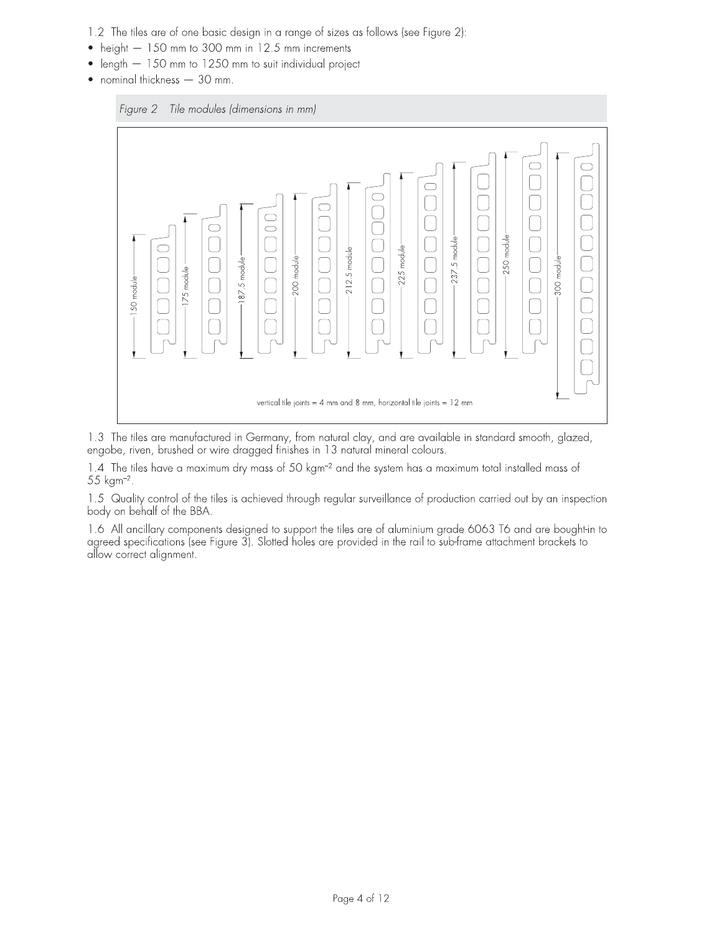- 1.2 The tiles are of one basic design in a range of sizes as follows (see Figure 2):
- height 150 mm to 300 mm in 12.5 mm increments
- length 150 mm to 1250 mm to suit individual project
- $\bullet$  nominal thickness  $-30$  mm.





1.3 The tiles are manufactured in Germany, from natural clay, and are available in standard smooth, glazed, engobe, riven, brushed or wire dragged finishes in 13 natural mineral colours.

1.4 The tiles have a maximum dry mass of 50 kgm<sup>-2</sup> and the system has a maximum total installed mass of 55 kgm<sup>-2</sup>.

1.5 Quality control of the tiles is achieved through regular surveillance of production carried out by an inspection body on behalf of the BBA.

1.6 All ancillary components designed to support the tiles are of aluminium grade 6063 T6 and are bought-in to agreed specifications (see Figure 3). Slotted holes are provided in the rail to sub-frame attachment brackets to allow correct alignment.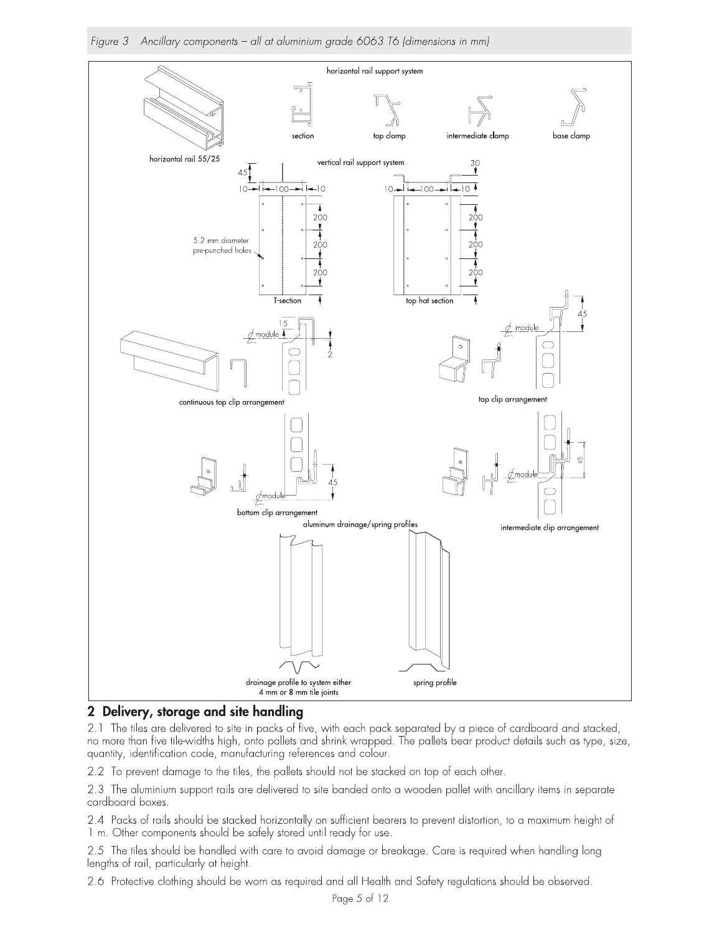

#### 2 Delivery, storage and site handling

2.1 The tiles are delivered to site in packs of five, with each pack separated by a piece of cardboard and stacked, no more than five tile-widths high, onto pallets and shrink wrapped. The pallets bear product details such as type, size, quantity, identification code, manufacturing references and colour.

2.2 To prevent damage to the tiles, the pallets should not be stacked on top of each other.

2.3 The aluminium support rails are delivered to site banded onto a wooden pallet with ancillary items in separate cardboard boxes.

2.4 Packs of rails should be stacked horizontally on sufficient bearers to prevent distortion, to a maximum height of 1 m. Other components should be safely stored until ready for use.

2.5 The tiles should be handled with care to avoid damage or breakage. Care is required when handling long lengths of rail, particularly at height.

2.6 Protective clothing should be worn as required and all Health and Safety regulations should be observed.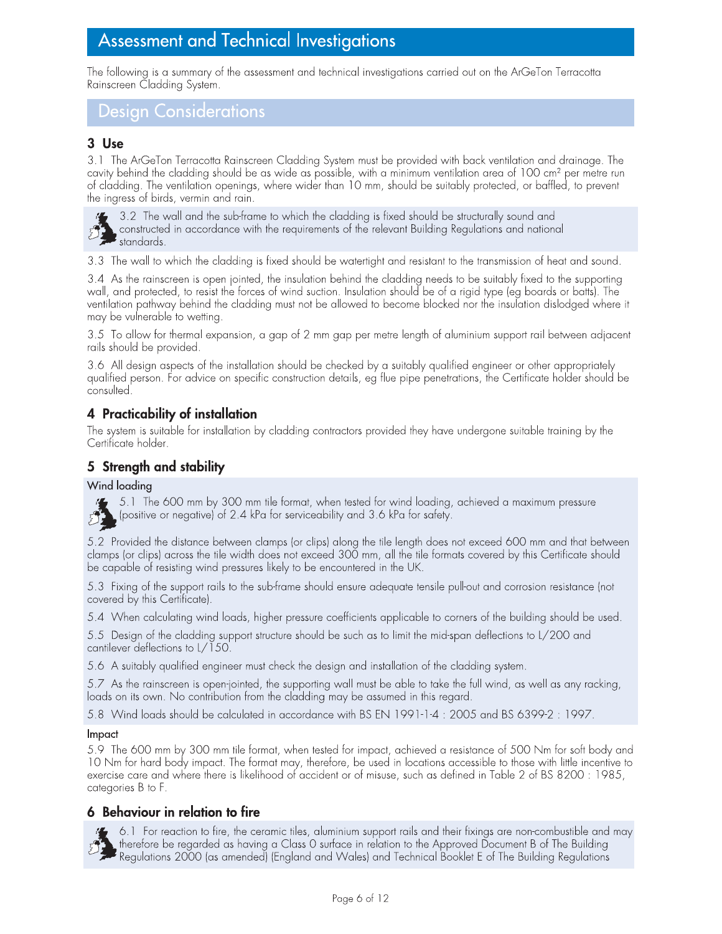# Assessment and Technical Investigations

The following is a summary of the assessment and technical investigations carried out on the ArGeTon Terracotta Rainscreen Cladding System.

**Design Considerations** 

## 3 Use

3.1 The ArGeTon Terracotta Rainscreen Cladding System must be provided with back ventilation and drainage. The cavity behind the cladding should be as wide as possible, with a minimum ventilation area of 100 cm<sup>2</sup> per metre run of cladding. The ventilation openings, where wider than 10 mm, should be suitably protected, or baffled, to prevent the ingress of birds, vermin and rain.



3.2 The wall and the sub-frame to which the cladding is fixed should be structurally sound and constructed in accordance with the requirements of the relevant Building Regulations and national standards.

3.3 The wall to which the cladding is fixed should be watertight and resistant to the transmission of heat and sound.

3.4 As the rainscreen is open jointed, the insulation behind the cladding needs to be suitably fixed to the supporting wall, and protected, to resist the forces of wind suction. Insulation should be of a rigid type (eg boards or batts). The ventilation pathway behind the cladding must not be allowed to become blocked nor the insulation dislodged where it may be vulnerable to wetting.

3.5 To allow for thermal expansion, a gap of 2 mm gap per metre length of aluminium support rail between adjacent rails should be provided.

3.6 All design aspects of the installation should be checked by a suitably qualified engineer or other appropriately qualified person. For advice on specific construction details, eg flue pipe penetrations, the Certificate holder should be consulted.

## 4 Practicability of installation

The system is suitable for installation by cladding contractors provided they have undergone suitable training by the Certificate holder.

## 5 Strength and stability

Wind loading



5.1 The 600 mm by 300 mm tile format, when tested for wind loading, achieved a maximum pressure (positive or negative) of 2.4 kPa for serviceability and 3.6 kPa for safety.

5.2 Provided the distance between clamps (or clips) along the tile length does not exceed 600 mm and that between clamps (or clips) across the tile width does not exceed 300 mm, all the tile formats covered by this Certificate should be capable of resisting wind pressures likely to be encountered in the UK.

5.3 Fixing of the support rails to the sub-frame should ensure adequate tensile pull-out and corrosion resistance (not covered by this Certificate).

5.4 When calculating wind loads, higher pressure coefficients applicable to corners of the building should be used.

5.5 Design of the cladding support structure should be such as to limit the mid-span deflections to L/200 and cantilever deflections to  $1/150$ .

5.6 A suitably qualified engineer must check the design and installation of the cladding system.

5.7 As the rainscreen is open-jointed, the supporting wall must be able to take the full wind, as well as any racking, loads on its own. No contribution from the cladding may be assumed in this regard.

5.8 Wind loads should be calculated in accordance with BS EN 1991-1-4: 2005 and BS 6399-2: 1997.

#### Impact

5.9 The 600 mm by 300 mm tile format, when tested for impact, achieved a resistance of 500 Nm for soft body and 10 Nm for hard body impact. The format may, therefore, be used in locations accessible to those with little incentive to exercise care and where there is likelihood of accident or of misuse, such as defined in Table 2 of BS 8200: 1985, categories B to F.

## 6 Behaviour in relation to fire



6.1 For reaction to fire, the ceramic tiles, aluminium support rails and their fixings are non-combustible and may therefore be regarded as having a Class 0 surface in relation to the Approved Document B of The Building Regulations 2000 (as amended) (England and Wales) and Technical Booklet E of The Building Regulations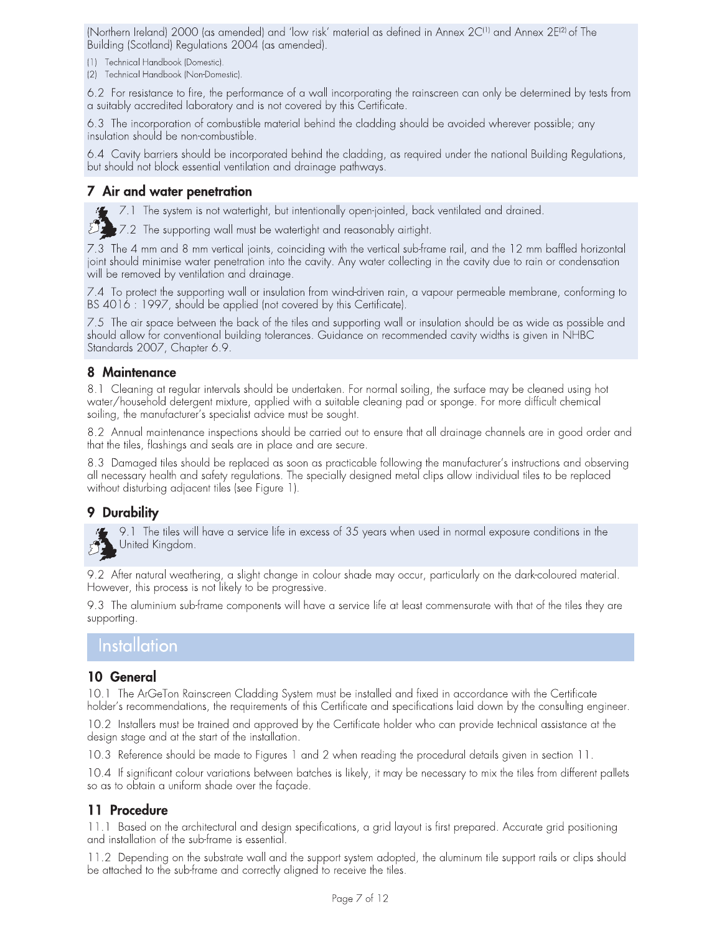(Northern Ireland) 2000 (as amended) and 'low risk' material as defined in Annex 2C<sup>(1)</sup> and Annex 2E<sup>(2)</sup> of The Building (Scotland) Regulations 2004 (as amended).

- (1) Technical Handbook (Domestic).
- (2) Technical Handbook (Non-Domestic).

6.2 For resistance to fire, the performance of a wall incorporating the rainscreen can only be determined by tests from a suitably accredited laboratory and is not covered by this Certificate.

6.3 The incorporation of combustible material behind the cladding should be avoided wherever possible; any insulation should be non-combustible.

6.4 Cavity barriers should be incorporated behind the cladding, as required under the national Building Regulations, but should not block essential ventilation and drainage pathways.

#### 7 Air and water penetration



 $\geq$  7.2 The supporting wall must be watertight and reasonably airtight.

7.3 The 4 mm and 8 mm vertical joints, coinciding with the vertical sub-frame rail, and the 12 mm baffled horizontal joint should minimise water penetration into the cavity. Any water collecting in the cavity due to rain or condensation will be removed by ventilation and drainage.

7.4 To protect the supporting wall or insulation from wind-driven rain, a vapour permeable membrane, conforming to BS 4016: 1997, should be applied (not covered by this Certificate).

7.5 The air space between the back of the tiles and supporting wall or insulation should be as wide as possible and should allow for conventional building tolerances. Guidance on recommended cavity widths is given in NHBC Standards 2007, Chapter 6.9.

### 8 Maintenance

8.1 Cleaning at regular intervals should be undertaken. For normal soiling, the surface may be cleaned using hot water/household detergent mixture, applied with a suitable cleaning pad or sponge. For more difficult chemical soiling, the manufacturer's specialist advice must be sought.

8.2 Annual maintenance inspections should be carried out to ensure that all drainage channels are in good order and that the tiles, flashings and seals are in place and are secure.

8.3 Damaged tiles should be replaced as soon as practicable following the manufacturer's instructions and observing all necessary health and safety regulations. The specially designed metal clips allow individual tiles to be replaced without disturbing adjacent tiles (see Figure 1).

## **9 Durability**



9.2 After natural weathering, a slight change in colour shade may occur, particularly on the dark-coloured material. However, this process is not likely to be progressive.

9.3 The aluminium sub-frame components will have a service life at least commensurate with that of the tiles they are supporting.

## Installation

#### 10 General

10.1 The ArGeTon Rainscreen Cladding System must be installed and fixed in accordance with the Certificate holder's recommendations, the requirements of this Certificate and specifications laid down by the consulting engineer.

10.2 Installers must be trained and approved by the Certificate holder who can provide technical assistance at the design stage and at the start of the installation.

10.3 Reference should be made to Figures 1 and 2 when reading the procedural details given in section 11.

10.4 If significant colour variations between batches is likely, it may be necessary to mix the tiles from different pallets so as to obtain a uniform shade over the façade.

## 11 Procedure

11.1 Based on the architectural and design specifications, a grid layout is first prepared. Accurate grid positioning and installation of the sub-frame is essential.

11.2 Depending on the substrate wall and the support system adopted, the aluminum tile support rails or clips should be attached to the sub-frame and correctly aligned to receive the tiles.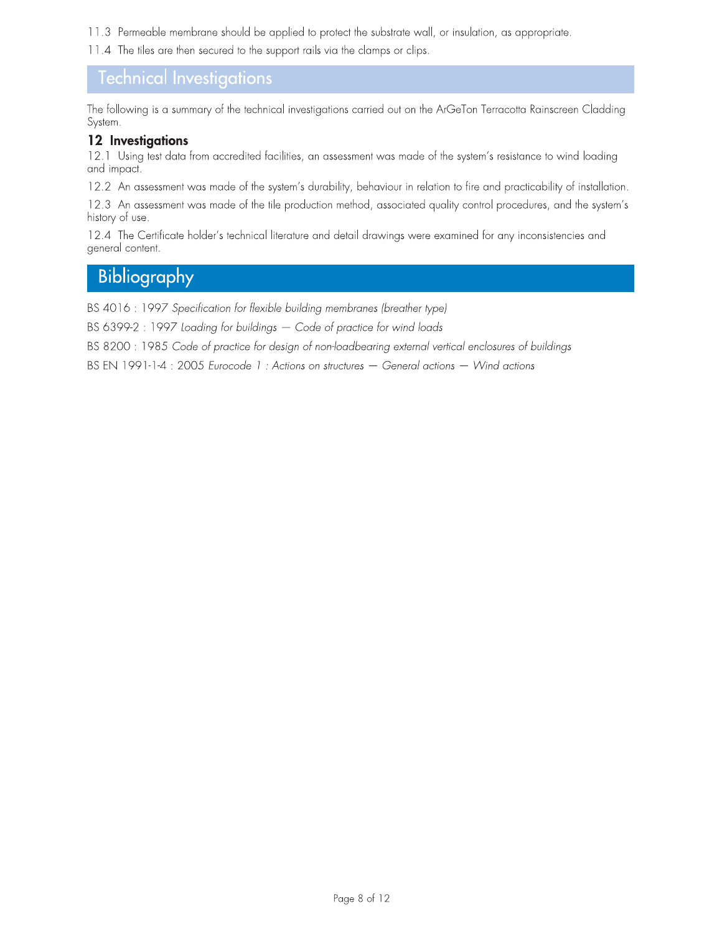11.3 Permeable membrane should be applied to protect the substrate wall, or insulation, as appropriate.

11.4 The tiles are then secured to the support rails via the clamps or clips.

## **Technical Investigations**

The following is a summary of the technical investigations carried out on the ArGeTon Terracotta Rainscreen Cladding System.

### 12 Investigations

12.1 Using test data from accredited facilities, an assessment was made of the system's resistance to wind loading and impact.

12.2 An assessment was made of the system's durability, behaviour in relation to fire and practicability of installation.

12.3 An assessment was made of the tile production method, associated quality control procedures, and the system's history of use.

12.4 The Certificate holder's technical literature and detail drawings were examined for any inconsistencies and general content.

# Bibliography

BS 4016 : 1997 Specification for flexible building membranes (breather type)

BS 6399-2 : 1997 Loading for buildings - Code of practice for wind loads

BS 8200: 1985 Code of practice for design of non-loadbearing external vertical enclosures of buildings

BS EN 1991-1-4 : 2005 Eurocode 1 : Actions on structures - General actions - Wind actions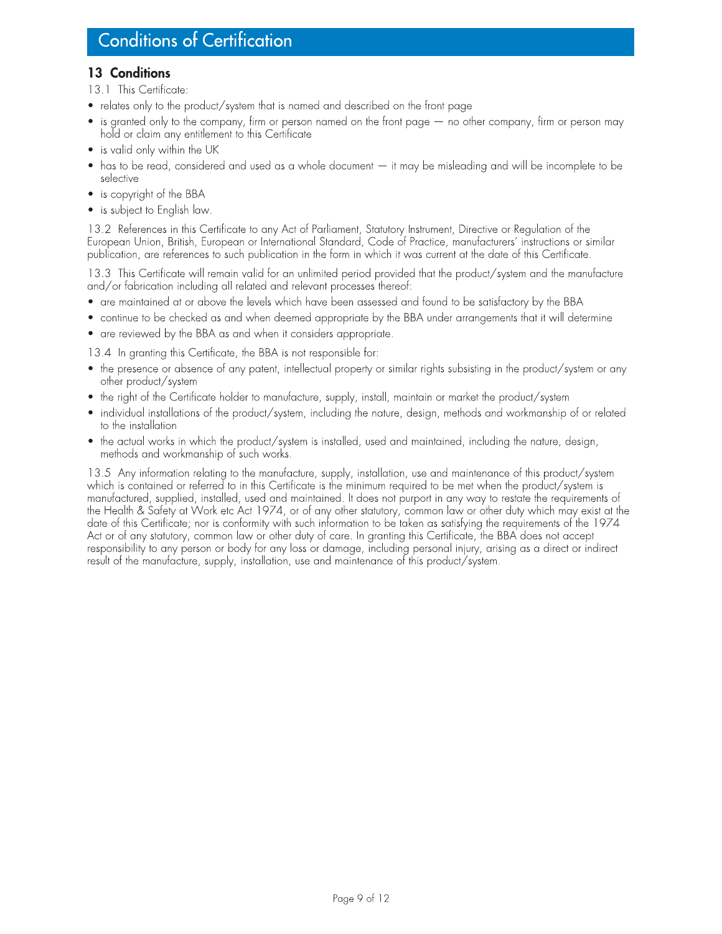## 13 Conditions

- 13.1 This Certificate:
- relates only to the product/system that is named and described on the front page
- is granted only to the company, firm or person named on the front page no other company, firm or person may hold or claim any entitlement to this Certificate
- is valid only within the UK
- has to be read, considered and used as a whole document it may be misleading and will be incomplete to be selective
- is copyright of the BBA
- is subject to English law.

13.2 References in this Certificate to any Act of Parliament, Statutory Instrument, Directive or Regulation of the European Union, British, European or International Standard, Code of Practice, manufacturers' instructions or similar publication, are references to such publication in the form in which it was current at the date of this Certificate.

13.3 This Certificate will remain valid for an unlimited period provided that the product/system and the manufacture and/or fabrication including all related and relevant processes thereof:

- are maintained at or above the levels which have been assessed and found to be satisfactory by the BBA
- continue to be checked as and when deemed appropriate by the BBA under arrangements that it will determine
- are reviewed by the BBA as and when it considers appropriate.

13.4 In granting this Certificate, the BBA is not responsible for:

- the presence or absence of any patent, intellectual property or similar rights subsisting in the product/system or any other product/system
- the right of the Certificate holder to manufacture, supply, install, maintain or market the product/system
- individual installations of the product/system, including the nature, design, methods and workmanship of or related to the installation
- the actual works in which the product/system is installed, used and maintained, including the nature, design, methods and workmanship of such works.

13.5 Any information relating to the manufacture, supply, installation, use and maintenance of this product/system which is contained or referred to in this Certificate is the minimum required to be met when the product/system is manufactured, supplied, installed, used and maintained. It does not purport in any way to restate the requirements of the Health & Safety at Work etc Act 1974, or of any other statutory, common law or other duty which may exist at the date of this Certificate; nor is conformity with such information to be taken as satisfying the requirements of the 1974 Act or of any statutory, common law or other duty of care. In granting this Certificate, the BBA does not accept responsibility to any person or body for any loss or damage, including personal injury, arising as a direct or indirect result of the manufacture, supply, installation, use and maintenance of this product/system.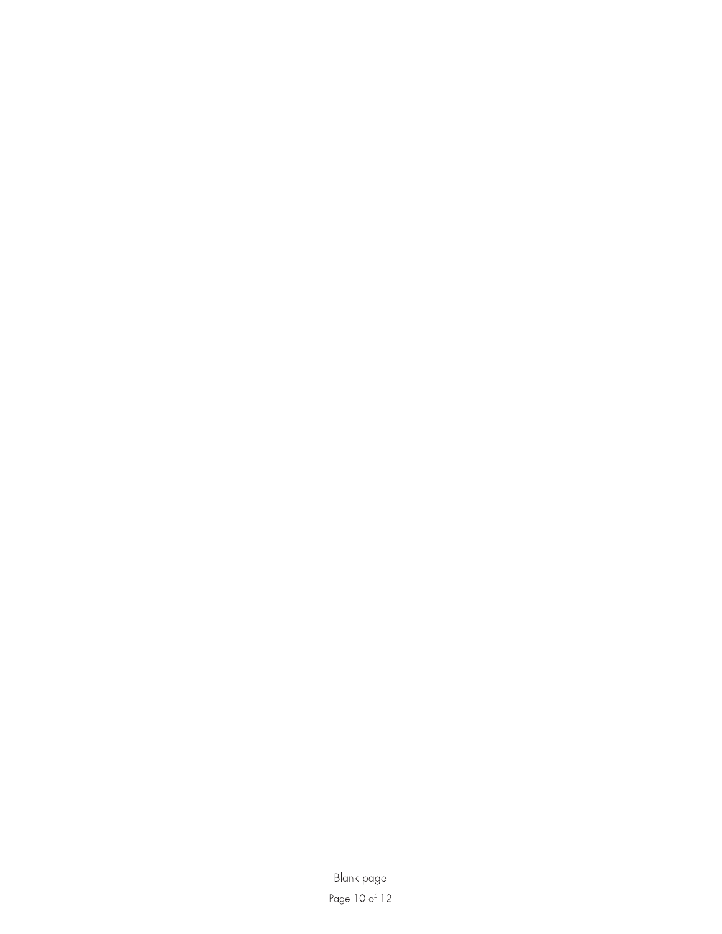Blank page Page 10 of 12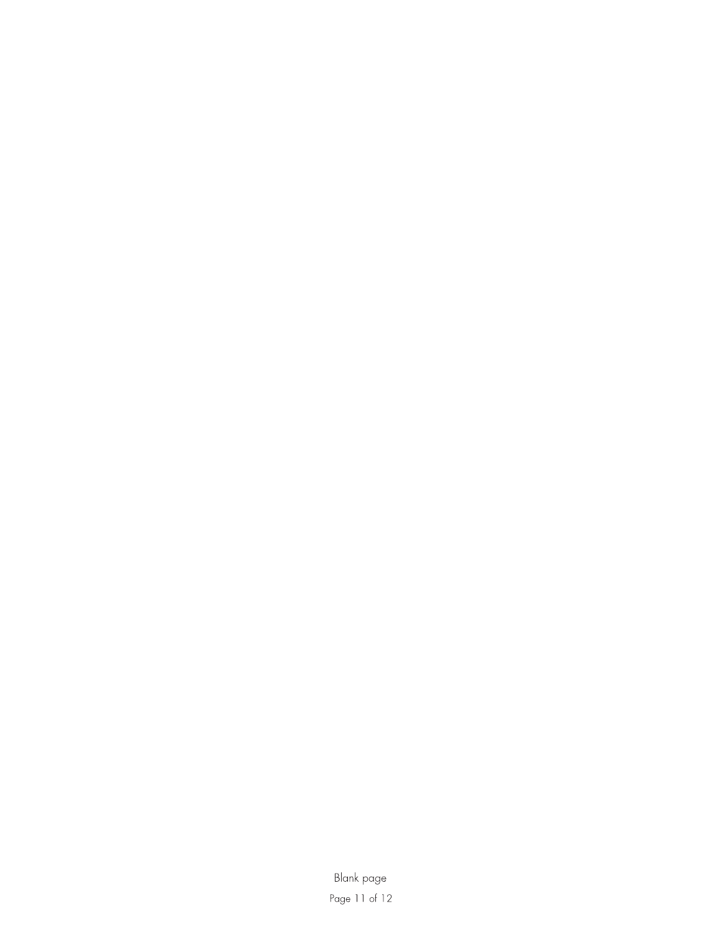Blank page Page 11 of 12